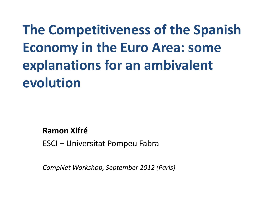**The Competitiveness of the Spanish Economy in the Euro Area: some explanations for an ambivalent evolution**

**Ramon Xifré**

ESCI – Universitat Pompeu Fabra

*CompNet Workshop, September 2012 (Paris)*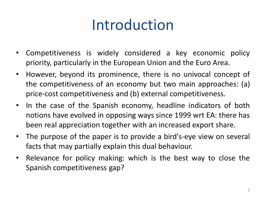# Introduction

- Competitiveness is widely considered a key economic policy priority, particularly in the European Union and the Euro Area.
- However, beyond its prominence, there is no univocal concept of the competitiveness of an economy but two main approaches: (a) price-cost competitiveness and (b) external competitiveness.
- In the case of the Spanish economy, headline indicators of both notions have evolved in opposing ways since 1999 wrt EA: there has been real appreciation together with an increased export share.
- The purpose of the paper is to provide a bird's-eye view on several facts that may partially explain this dual behaviour.
- Relevance for policy making: which is the best way to close the Spanish competitiveness gap?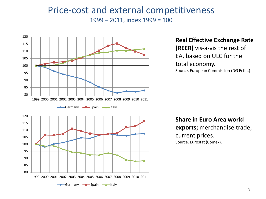### Price-cost and external competitiveness – 2011, index 1999 = 100



**Real Effective Exchange Rate (REER)** vis-a-vis the rest of EA, based on ULC for the total economy. Source. European Commission (DG Ecfin.)

**Share in Euro Area world exports;** merchandise trade, current prices. Source. Eurostat (Comex).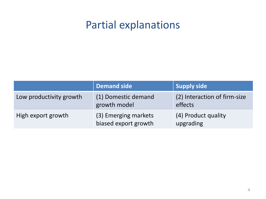## Partial explanations

|                         | Demand side                                  | <b>Supply side</b>                      |
|-------------------------|----------------------------------------------|-----------------------------------------|
| Low productivity growth | (1) Domestic demand<br>growth model          | (2) Interaction of firm-size<br>effects |
| High export growth      | (3) Emerging markets<br>biased export growth | (4) Product quality<br>upgrading        |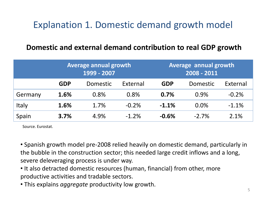## Explanation 1. Domestic demand growth model

### **Domestic and external demand contribution to real GDP growth**

|         | <b>Average annual growth</b><br>1999 - 2007 |          |          | Average annual growth<br>2008 - 2011 |          |          |
|---------|---------------------------------------------|----------|----------|--------------------------------------|----------|----------|
|         | <b>GDP</b>                                  | Domestic | External | <b>GDP</b>                           | Domestic | External |
| Germany | 1.6%                                        | 0.8%     | 0.8%     | 0.7%                                 | 0.9%     | $-0.2%$  |
| Italy   | 1.6%                                        | 1.7%     | $-0.2%$  | $-1.1%$                              | 0.0%     | $-1.1%$  |
| Spain   | 3.7%                                        | 4.9%     | $-1.2%$  | $-0.6%$                              | $-2.7%$  | 2.1%     |

Source. Eurostat.

- Spanish growth model pre-2008 relied heavily on domestic demand, particularly in the bubble in the construction sector; this needed large credit inflows and a long, severe deleveraging process is under way.
- It also detracted domestic resources (human, financial) from other, more productive activities and tradable sectors.
- This explains *aggregate* productivity low growth.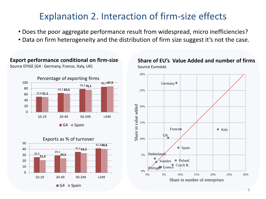### Explanation 2. Interaction of firm-size effects

- Does the poor aggregate performance result from widespread, micro inefficiencies?
- Data on firm heterogeneity and the distribution of firm size suggest it's not the case.

#### 52,6 **51,1** 65,1 **63,5** 79,2 **76,1** 86,2 **87,9**  $\Omega$ 20 40 60 80 100 10-19 20-49 50-249 >249 G4 Spain Percentage of exporting firms

**Export performance conditional on firm-size**

Source EFIGE (G4 : Germany, France, Italy, UK)





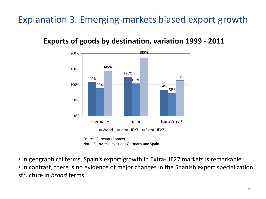## Explanation 3. Emerging-markets biased export growth

### **Exports of goods by destination, variation 1999 - 2011**



Source. Eurostat (Comext). Note. EuroArea\* excludes Germany and Spain.

• In geographical terms, Spain's export growth in Extra-UE27 markets is remarkable.

• In contrast, there is no evidence of major changes in the Spanish export specialization structure in *broad* terms.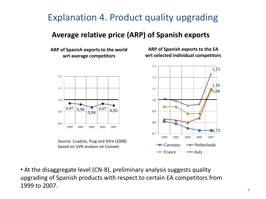## Explanation 4. Product quality upgrading

### **Average relative price (ARP) of Spanish exports**

**ARP of Spanish exports to the world wrt average competitors**



Source: Cuadras, Puig and Xifré (2009) based on UVR analysis on Comext.

**ARP of Spanish exports to the EA wrt selected individual competitors**



• At the disaggregate level (CN-8), preliminary analysis suggests quality upgrading of Spanish products with respect to certain EA competitors from 1999 to 2007.